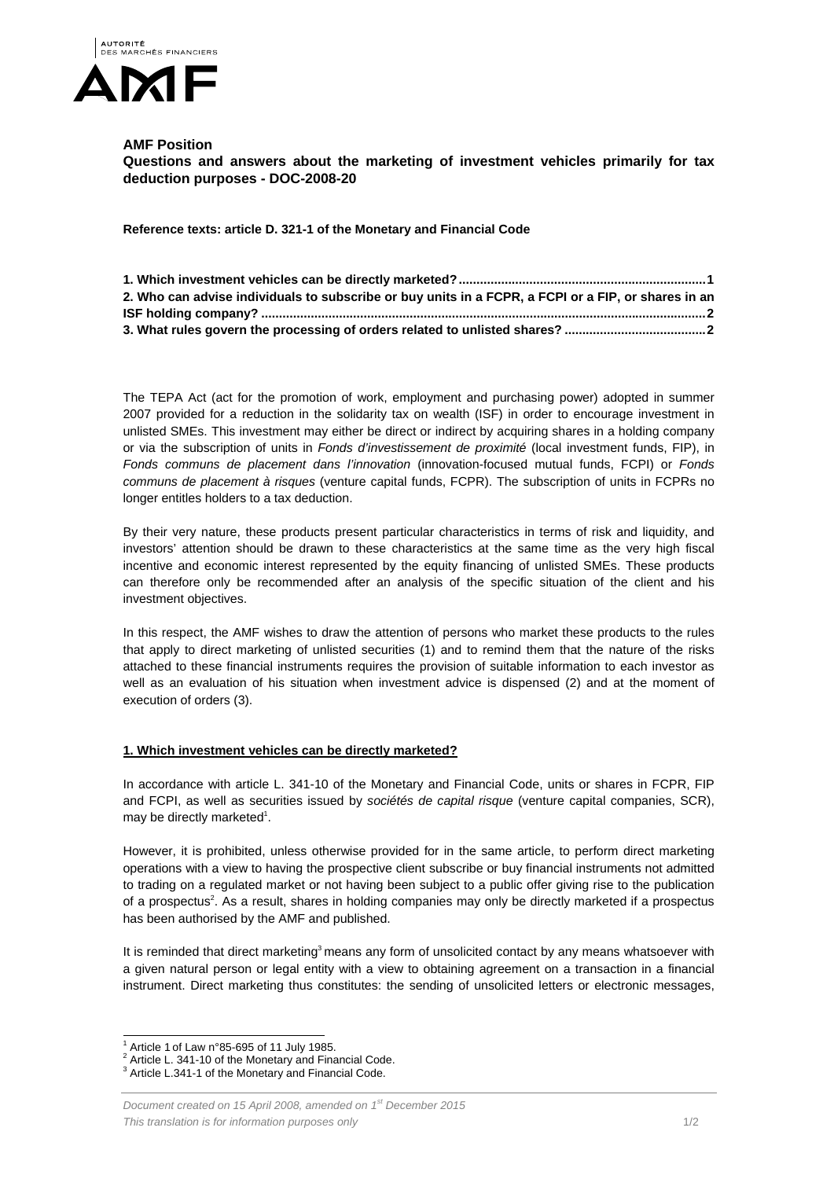

## **AMF Position**

**Questions and answers about the marketing of investment vehicles primarily for tax deduction purposes - DOC-2008-20** 

**Reference texts: article D. 321-1 of the Monetary and Financial Code** 

| 2. Who can advise individuals to subscribe or buy units in a FCPR, a FCPI or a FIP, or shares in an |
|-----------------------------------------------------------------------------------------------------|
|                                                                                                     |
|                                                                                                     |

The TEPA Act (act for the promotion of work, employment and purchasing power) adopted in summer 2007 provided for a reduction in the solidarity tax on wealth (ISF) in order to encourage investment in unlisted SMEs. This investment may either be direct or indirect by acquiring shares in a holding company or via the subscription of units in *Fonds d'investissement de proximité* (local investment funds, FIP), in *Fonds communs de placement dans l'innovation* (innovation-focused mutual funds, FCPI) or *Fonds communs de placement à risques* (venture capital funds, FCPR). The subscription of units in FCPRs no longer entitles holders to a tax deduction.

By their very nature, these products present particular characteristics in terms of risk and liquidity, and investors' attention should be drawn to these characteristics at the same time as the very high fiscal incentive and economic interest represented by the equity financing of unlisted SMEs. These products can therefore only be recommended after an analysis of the specific situation of the client and his investment objectives.

In this respect, the AMF wishes to draw the attention of persons who market these products to the rules that apply to direct marketing of unlisted securities (1) and to remind them that the nature of the risks attached to these financial instruments requires the provision of suitable information to each investor as well as an evaluation of his situation when investment advice is dispensed (2) and at the moment of execution of orders (3).

## **1. Which investment vehicles can be directly marketed?**

In accordance with article L. 341-10 of the Monetary and Financial Code, units or shares in FCPR, FIP and FCPI, as well as securities issued by *sociétés de capital risque* (venture capital companies, SCR), may be directly marketed<sup>1</sup>.

However, it is prohibited, unless otherwise provided for in the same article, to perform direct marketing operations with a view to having the prospective client subscribe or buy financial instruments not admitted to trading on a regulated market or not having been subject to a public offer giving rise to the publication of a prospectus<sup>2</sup>. As a result, shares in holding companies may only be directly marketed if a prospectus has been authorised by the AMF and published.

It is reminded that direct marketing<sup>3</sup> means any form of unsolicited contact by any means whatsoever with a given natural person or legal entity with a view to obtaining agreement on a transaction in a financial instrument. Direct marketing thus constitutes: the sending of unsolicited letters or electronic messages,

 $\overline{a}$ <sup>1</sup> Article 1 of Law n°85-695 of 11 July 1985.<br> $2.0$  ticle L. 344.40 of the Menatery and Fine

Article L. 341-10 of the Monetary and Financial Code.

<sup>&</sup>lt;sup>3</sup> Article L.341-1 of the Monetary and Financial Code.